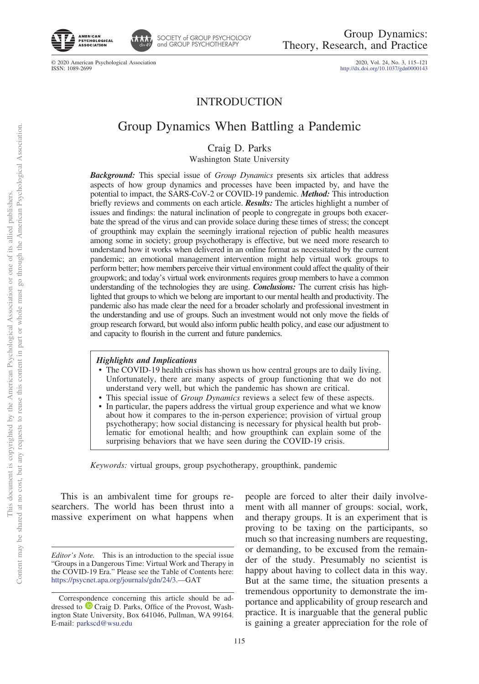



SOCIETY of GROUP PSYCHOLOGY<br>and GROUP PSYCHOTHERAPY

© 2020 American Psychological Association<br>ISSN: 1089-2699

2020, Vol. 24, No. 3, 115-121<br>http://dx.doi.org[/10.1037/gdn0000143](http://dx.doi.org/10.1037/gdn0000143)

## INTRODUCTION

# Group Dynamics When Battling a Pandemic

Craig D. Parks

Washington State University

*Background:* This special issue of *Group Dynamics* presents six articles that address aspects of how group dynamics and processes have been impacted by, and have the potential to impact, the SARS-CoV-2 or COVID-19 pandemic. *Method:* This introduction briefly reviews and comments on each article. *Results:* The articles highlight a number of issues and findings: the natural inclination of people to congregate in groups both exacerbate the spread of the virus and can provide solace during these times of stress; the concept of groupthink may explain the seemingly irrational rejection of public health measures among some in society; group psychotherapy is effective, but we need more research to understand how it works when delivered in an online format as necessitated by the current pandemic; an emotional management intervention might help virtual work groups to perform better; how members perceive their virtual environment could affect the quality of their groupwork; and today's virtual work environments requires group members to have a common understanding of the technologies they are using. *Conclusions:* The current crisis has highlighted that groups to which we belong are important to our mental health and productivity. The pandemic also has made clear the need for a broader scholarly and professional investment in the understanding and use of groups. Such an investment would not only move the fields of group research forward, but would also inform public health policy, and ease our adjustment to and capacity to flourish in the current and future pandemics.

### *Highlights and Implications*

- The COVID-19 health crisis has shown us how central groups are to daily living. Unfortunately, there are many aspects of group functioning that we do not understand very well, but which the pandemic has shown are critical.
- This special issue of *Group Dynamics* reviews a select few of these aspects.
- In particular, the papers address the virtual group experience and what we know about how it compares to the in-person experience; provision of virtual group psychotherapy; how social distancing is necessary for physical health but problematic for emotional health; and how groupthink can explain some of the surprising behaviors that we have seen during the COVID-19 crisis.

*Keywords:* virtual groups, group psychotherapy, groupthink, pandemic

This is an ambivalent time for groups researchers. The world has been thrust into a massive experiment on what happens when people are forced to alter their daily involvement with all manner of groups: social, work, and therapy groups. It is an experiment that is proving to be taxing on the participants, so much so that increasing numbers are requesting, or demanding, to be excused from the remainder of the study. Presumably no scientist is happy about having to collect data in this way. But at the same time, the situation presents a tremendous opportunity to demonstrate the importance and applicability of group research and practice. It is inarguable that the general public is gaining a greater appreciation for the role of

*Editor's Note.* This is an introduction to the special issue "Groups in a Dangerous Time: Virtual Work and Therapy in the COVID-19 Era." Please see the Table of Contents here: [https://psycnet.apa.org/journals/gdn/24/3.](https://psycnet.apa.org/journals/gdn/24/3)—GAT

Correspondence concerning this article should be addressed to  $\bullet$  [Craig D. Parks,](https://orcid.org/0000-0001-5299-093X) Office of the Provost, Washington State University, Box 641046, Pullman, WA 99164. E-mail: [parkscd@wsu.edu](mailto:parkscd@wsu.edu)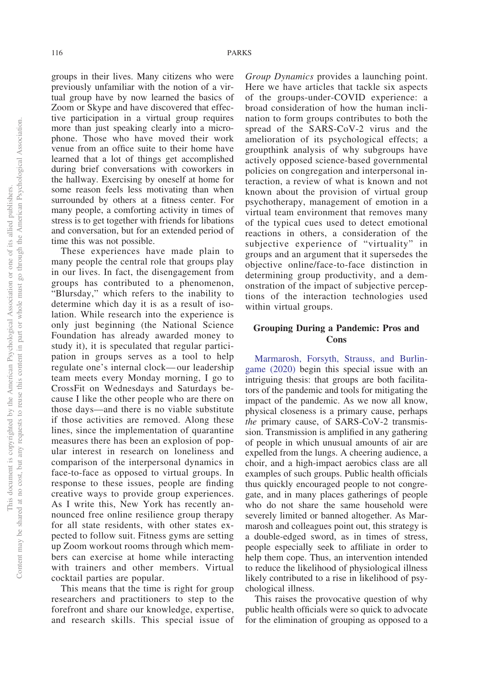groups in their lives. Many citizens who were previously unfamiliar with the notion of a virtual group have by now learned the basics of Zoom or Skype and have discovered that effective participation in a virtual group requires more than just speaking clearly into a microphone. Those who have moved their work venue from an office suite to their home have learned that a lot of things get accomplished during brief conversations with coworkers in the hallway. Exercising by oneself at home for some reason feels less motivating than when surrounded by others at a fitness center. For many people, a comforting activity in times of stress is to get together with friends for libations and conversation, but for an extended period of time this was not possible.

These experiences have made plain to many people the central role that groups play in our lives. In fact, the disengagement from groups has contributed to a phenomenon, "Blursday," which refers to the inability to determine which day it is as a result of isolation. While research into the experience is only just beginning (the National Science Foundation has already awarded money to study it), it is speculated that regular participation in groups serves as a tool to help regulate one's internal clock— our leadership team meets every Monday morning, I go to CrossFit on Wednesdays and Saturdays because I like the other people who are there on those days—and there is no viable substitute if those activities are removed. Along these lines, since the implementation of quarantine measures there has been an explosion of popular interest in research on loneliness and comparison of the interpersonal dynamics in face-to-face as opposed to virtual groups. In response to these issues, people are finding creative ways to provide group experiences. As I write this, New York has recently announced free online resilience group therapy for all state residents, with other states expected to follow suit. Fitness gyms are setting up Zoom workout rooms through which members can exercise at home while interacting with trainers and other members. Virtual cocktail parties are popular.

This means that the time is right for group researchers and practitioners to step to the forefront and share our knowledge, expertise, and research skills. This special issue of

*Group Dynamics* provides a launching point. Here we have articles that tackle six aspects of the groups-under-COVID experience: a broad consideration of how the human inclination to form groups contributes to both the spread of the SARS-CoV-2 virus and the amelioration of its psychological effects; a groupthink analysis of why subgroups have actively opposed science-based governmental policies on congregation and interpersonal interaction, a review of what is known and not known about the provision of virtual group psychotherapy, management of emotion in a virtual team environment that removes many of the typical cues used to detect emotional reactions in others, a consideration of the subjective experience of "virtuality" in groups and an argument that it supersedes the objective online/face-to-face distinction in determining group productivity, and a demonstration of the impact of subjective perceptions of the interaction technologies used within virtual groups.

## **Grouping During a Pandemic: Pros and Cons**

[Marmarosh, Forsyth, Strauss, and Burlin](#page-5-0)[game \(2020\)](#page-5-0) begin this special issue with an intriguing thesis: that groups are both facilitators of the pandemic and tools for mitigating the impact of the pandemic. As we now all know, physical closeness is a primary cause, perhaps *the* primary cause, of SARS-CoV-2 transmission. Transmission is amplified in any gathering of people in which unusual amounts of air are expelled from the lungs. A cheering audience, a choir, and a high-impact aerobics class are all examples of such groups. Public health officials thus quickly encouraged people to not congregate, and in many places gatherings of people who do not share the same household were severely limited or banned altogether. As Marmarosh and colleagues point out, this strategy is a double-edged sword, as in times of stress, people especially seek to affiliate in order to help them cope. Thus, an intervention intended to reduce the likelihood of physiological illness likely contributed to a rise in likelihood of psychological illness.

This raises the provocative question of why public health officials were so quick to advocate for the elimination of grouping as opposed to a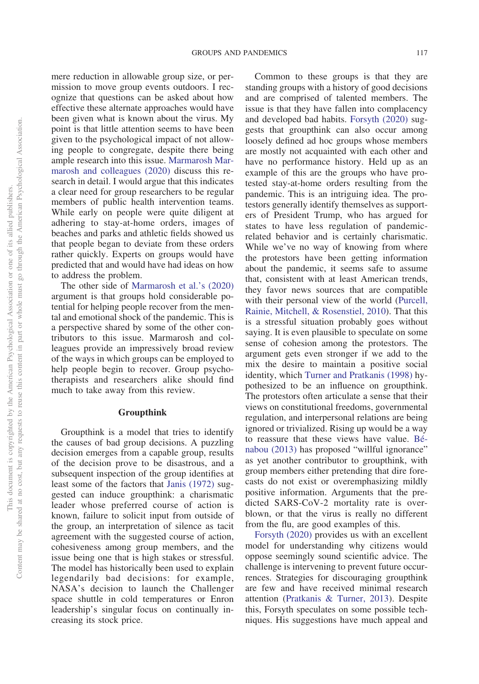mere reduction in allowable group size, or permission to move group events outdoors. I recognize that questions can be asked about how effective these alternate approaches would have been given what is known about the virus. My point is that little attention seems to have been given to the psychological impact of not allowing people to congregate, despite there being ample research into this issue. [Marmarosh Mar](#page-5-0)[marosh and colleagues \(2020\)](#page-5-0) discuss this research in detail. I would argue that this indicates a clear need for group researchers to be regular members of public health intervention teams. While early on people were quite diligent at adhering to stay-at-home orders, images of beaches and parks and athletic fields showed us that people began to deviate from these orders rather quickly. Experts on groups would have predicted that and would have had ideas on how to address the problem.

The other side of [Marmarosh et al.'s \(2020\)](#page-5-0) argument is that groups hold considerable potential for helping people recover from the mental and emotional shock of the pandemic. This is a perspective shared by some of the other contributors to this issue. Marmarosh and colleagues provide an impressively broad review of the ways in which groups can be employed to help people begin to recover. Group psychotherapists and researchers alike should find much to take away from this review.

#### **Groupthink**

Groupthink is a model that tries to identify the causes of bad group decisions. A puzzling decision emerges from a capable group, results of the decision prove to be disastrous, and a subsequent inspection of the group identifies at least some of the factors that [Janis \(1972\)](#page-5-1) suggested can induce groupthink: a charismatic leader whose preferred course of action is known, failure to solicit input from outside of the group, an interpretation of silence as tacit agreement with the suggested course of action, cohesiveness among group members, and the issue being one that is high stakes or stressful. The model has historically been used to explain legendarily bad decisions: for example, NASA's decision to launch the Challenger space shuttle in cold temperatures or Enron leadership's singular focus on continually increasing its stock price.

Common to these groups is that they are standing groups with a history of good decisions and are comprised of talented members. The issue is that they have fallen into complacency and developed bad habits. [Forsyth \(2020\)](#page-5-2) suggests that groupthink can also occur among loosely defined ad hoc groups whose members are mostly not acquainted with each other and have no performance history. Held up as an example of this are the groups who have protested stay-at-home orders resulting from the pandemic. This is an intriguing idea. The protestors generally identify themselves as supporters of President Trump, who has argued for states to have less regulation of pandemicrelated behavior and is certainly charismatic. While we've no way of knowing from where the protestors have been getting information about the pandemic, it seems safe to assume that, consistent with at least American trends, they favor news sources that are compatible with their personal view of the world [\(Purcell,](#page-6-0) [Rainie, Mitchell, & Rosenstiel, 2010\)](#page-6-0). That this is a stressful situation probably goes without saying. It is even plausible to speculate on some sense of cohesion among the protestors. The argument gets even stronger if we add to the mix the desire to maintain a positive social identity, which [Turner and Pratkanis \(1998\)](#page-6-1) hypothesized to be an influence on groupthink. The protestors often articulate a sense that their views on constitutional freedoms, governmental regulation, and interpersonal relations are being ignored or trivialized. Rising up would be a way to reassure that these views have value. [Bé](#page-5-3)[nabou \(2013\)](#page-5-3) has proposed "willful ignorance" as yet another contributor to groupthink, with group members either pretending that dire forecasts do not exist or overemphasizing mildly positive information. Arguments that the predicted SARS-CoV-2 mortality rate is overblown, or that the virus is really no different from the flu, are good examples of this.

[Forsyth \(2020\)](#page-5-2) provides us with an excellent model for understanding why citizens would oppose seemingly sound scientific advice. The challenge is intervening to prevent future occurrences. Strategies for discouraging groupthink are few and have received minimal research attention [\(Pratkanis & Turner, 2013\)](#page-6-2). Despite this, Forsyth speculates on some possible techniques. His suggestions have much appeal and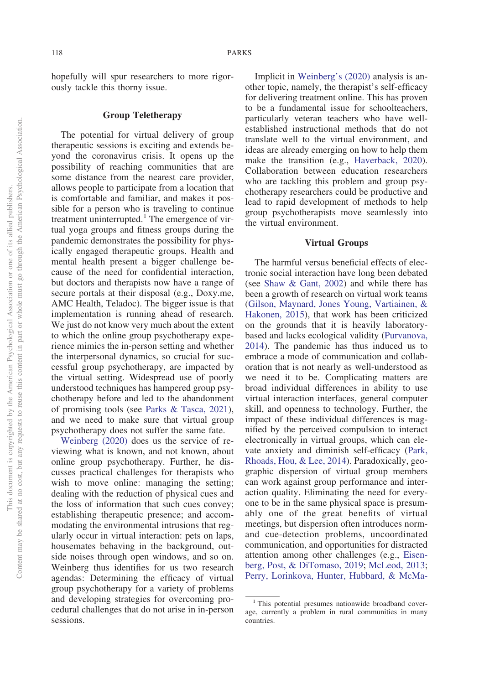hopefully will spur researchers to more rigorously tackle this thorny issue.

#### **Group Teletherapy**

The potential for virtual delivery of group therapeutic sessions is exciting and extends beyond the coronavirus crisis. It opens up the possibility of reaching communities that are some distance from the nearest care provider, allows people to participate from a location that is comfortable and familiar, and makes it possible for a person who is traveling to continue treatment uninterrupted.<sup>1</sup> The emergence of virtual yoga groups and fitness groups during the pandemic demonstrates the possibility for physically engaged therapeutic groups. Health and mental health present a bigger challenge because of the need for confidential interaction, but doctors and therapists now have a range of secure portals at their disposal (e.g., Doxy.me, AMC Health, Teladoc). The bigger issue is that implementation is running ahead of research. We just do not know very much about the extent to which the online group psychotherapy experience mimics the in-person setting and whether the interpersonal dynamics, so crucial for successful group psychotherapy, are impacted by the virtual setting. Widespread use of poorly understood techniques has hampered group psychotherapy before and led to the abandonment of promising tools (see [Parks & Tasca, 2021\)](#page-6-3), and we need to make sure that virtual group psychotherapy does not suffer the same fate.

[Weinberg \(2020\)](#page-6-4) does us the service of reviewing what is known, and not known, about online group psychotherapy. Further, he discusses practical challenges for therapists who wish to move online: managing the setting; dealing with the reduction of physical cues and the loss of information that such cues convey; establishing therapeutic presence; and accommodating the environmental intrusions that regularly occur in virtual interaction: pets on laps, housemates behaving in the background, outside noises through open windows, and so on. Weinberg thus identifies for us two research agendas: Determining the efficacy of virtual group psychotherapy for a variety of problems and developing strategies for overcoming procedural challenges that do not arise in in-person sessions.

Implicit in [Weinberg's \(2020\)](#page-6-4) analysis is another topic, namely, the therapist's self-efficacy for delivering treatment online. This has proven to be a fundamental issue for schoolteachers, particularly veteran teachers who have wellestablished instructional methods that do not translate well to the virtual environment, and ideas are already emerging on how to help them make the transition (e.g., [Haverback, 2020\)](#page-5-4). Collaboration between education researchers who are tackling this problem and group psychotherapy researchers could be productive and lead to rapid development of methods to help group psychotherapists move seamlessly into the virtual environment.

#### **Virtual Groups**

The harmful versus beneficial effects of electronic social interaction have long been debated (see [Shaw & Gant, 2002\)](#page-6-5) and while there has been a growth of research on virtual work teams [\(Gilson, Maynard, Jones Young, Vartiainen, &](#page-5-5) [Hakonen, 2015\)](#page-5-5), that work has been criticized on the grounds that it is heavily laboratorybased and lacks ecological validity [\(Purvanova,](#page-6-6) [2014\)](#page-6-6). The pandemic has thus induced us to embrace a mode of communication and collaboration that is not nearly as well-understood as we need it to be. Complicating matters are broad individual differences in ability to use virtual interaction interfaces, general computer skill, and openness to technology. Further, the impact of these individual differences is magnified by the perceived compulsion to interact electronically in virtual groups, which can elevate anxiety and diminish self-efficacy [\(Park,](#page-6-7) [Rhoads, Hou, & Lee, 2014\)](#page-6-7). Paradoxically, geographic dispersion of virtual group members can work against group performance and interaction quality. Eliminating the need for everyone to be in the same physical space is presumably one of the great benefits of virtual meetings, but dispersion often introduces normand cue-detection problems, uncoordinated communication, and opportunities for distracted attention among other challenges (e.g., [Eisen](#page-5-6)[berg, Post, & DiTomaso, 2019;](#page-5-6) [McLeod, 2013;](#page-6-8) [Perry, Lorinkova, Hunter, Hubbard, & McMa-](#page-6-9)

<sup>&</sup>lt;sup>1</sup> This potential presumes nationwide broadband coverage, currently a problem in rural communities in many countries.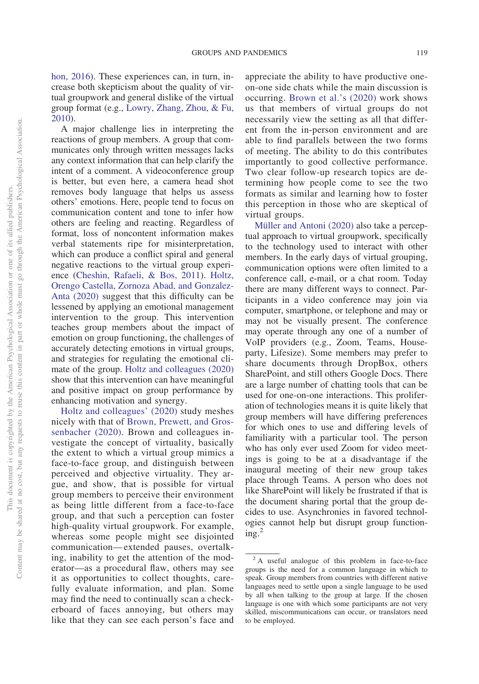## [hon, 2016\)](#page-6-9). These experiences can, in turn, increase both skepticism about the quality of virtual groupwork and general dislike of the virtual group format (e.g., [Lowry, Zhang, Zhou, & Fu,](#page-5-7) [2010\)](#page-5-7).

A major challenge lies in interpreting the reactions of group members. A group that communicates only through written messages lacks any context information that can help clarify the intent of a comment. A videoconference group is better, but even here, a camera head shot removes body language that helps us assess others' emotions. Here, people tend to focus on communication content and tone to infer how others are feeling and reacting. Regardless of format, loss of noncontent information makes verbal statements ripe for misinterpretation, which can produce a conflict spiral and general negative reactions to the virtual group experience [\(Cheshin, Rafaeli, & Bos, 2011\)](#page-5-8). [Holtz,](#page-5-9) [Orengo Castella, Zornoza Abad, and Gonzalez-](#page-5-9)[Anta \(2020\)](#page-5-9) suggest that this difficulty can be lessened by applying an emotional management intervention to the group. This intervention teaches group members about the impact of emotion on group functioning, the challenges of accurately detecting emotions in virtual groups, and strategies for regulating the emotional climate of the group. [Holtz and colleagues \(2020\)](#page-5-9) show that this intervention can have meaningful and positive impact on group performance by enhancing motivation and synergy.

[Holtz and colleagues' \(2020\)](#page-5-9) study meshes nicely with that of [Brown, Prewett, and Gros](#page-5-10)[senbacher \(2020\).](#page-5-10) Brown and colleagues investigate the concept of virtuality, basically the extent to which a virtual group mimics a face-to-face group, and distinguish between perceived and objective virtuality. They argue, and show, that is possible for virtual group members to perceive their environment as being little different from a face-to-face group, and that such a perception can foster high-quality virtual groupwork. For example, whereas some people might see disjointed communication— extended pauses, overtalking, inability to get the attention of the moderator—as a procedural flaw, others may see it as opportunities to collect thoughts, carefully evaluate information, and plan. Some may find the need to continually scan a checkerboard of faces annoying, but others may like that they can see each person's face and

appreciate the ability to have productive oneon-one side chats while the main discussion is occurring. [Brown et al.'s \(2020\)](#page-5-10) work shows us that members of virtual groups do not necessarily view the setting as all that different from the in-person environment and are able to find parallels between the two forms of meeting. The ability to do this contributes importantly to good collective performance. Two clear follow-up research topics are determining how people come to see the two formats as similar and learning how to foster this perception in those who are skeptical of virtual groups.

[Müller and Antoni \(2020\)](#page-6-10) also take a perceptual approach to virtual groupwork, specifically to the technology used to interact with other members. In the early days of virtual grouping, communication options were often limited to a conference call, e-mail, or a chat room. Today there are many different ways to connect. Participants in a video conference may join via computer, smartphone, or telephone and may or may not be visually present. The conference may operate through any one of a number of VoIP providers (e.g., Zoom, Teams, Houseparty, Lifesize). Some members may prefer to share documents through DropBox, others SharePoint, and still others Google Docs. There are a large number of chatting tools that can be used for one-on-one interactions. This proliferation of technologies means it is quite likely that group members will have differing preferences for which ones to use and differing levels of familiarity with a particular tool. The person who has only ever used Zoom for video meetings is going to be at a disadvantage if the inaugural meeting of their new group takes place through Teams. A person who does not like SharePoint will likely be frustrated if that is the document sharing portal that the group decides to use. Asynchronies in favored technologies cannot help but disrupt group function $ing.<sup>2</sup>$ 

<sup>2</sup> A useful analogue of this problem in face-to-face groups is the need for a common language in which to speak. Group members from countries with different native languages need to settle upon a single language to be used by all when talking to the group at large. If the chosen language is one with which some participants are not very skilled, miscommunications can occur, or translators need to be employed.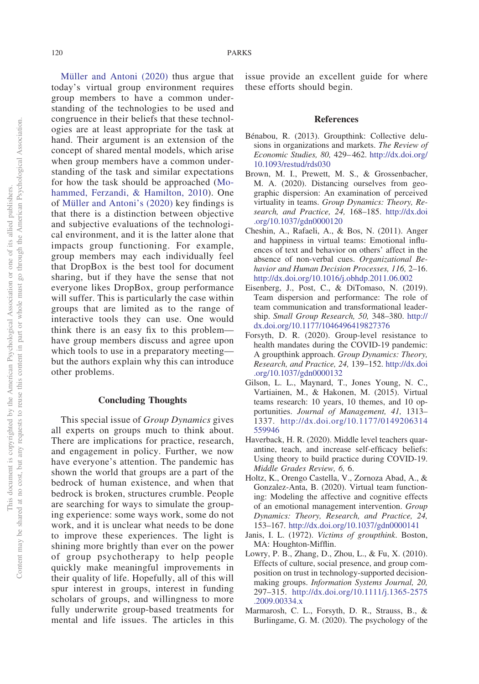[Müller and Antoni \(2020\)](#page-6-10) thus argue that today's virtual group environment requires group members to have a common understanding of the technologies to be used and congruence in their beliefs that these technologies are at least appropriate for the task at hand. Their argument is an extension of the concept of shared mental models, which arise when group members have a common understanding of the task and similar expectations for how the task should be approached [\(Mo](#page-6-11)[hammed, Ferzandi, & Hamilton, 2010\)](#page-6-11). One of [Müller and Antoni's \(2020\)](#page-6-10) key findings is that there is a distinction between objective and subjective evaluations of the technological environment, and it is the latter alone that impacts group functioning. For example, group members may each individually feel that DropBox is the best tool for document sharing, but if they have the sense that not everyone likes DropBox, group performance will suffer. This is particularly the case within groups that are limited as to the range of interactive tools they can use. One would think there is an easy fix to this problem have group members discuss and agree upon which tools to use in a preparatory meeting but the authors explain why this can introduce other problems.

#### **Concluding Thoughts**

This special issue of *Group Dynamics* gives all experts on groups much to think about. There are implications for practice, research, and engagement in policy. Further, we now have everyone's attention. The pandemic has shown the world that groups are a part of the bedrock of human existence, and when that bedrock is broken, structures crumble. People are searching for ways to simulate the grouping experience: some ways work, some do not work, and it is unclear what needs to be done to improve these experiences. The light is shining more brightly than ever on the power of group psychotherapy to help people quickly make meaningful improvements in their quality of life. Hopefully, all of this will spur interest in groups, interest in funding scholars of groups, and willingness to more fully underwrite group-based treatments for mental and life issues. The articles in this issue provide an excellent guide for where these efforts should begin.

#### **References**

- <span id="page-5-3"></span>Bénabou, R. (2013). Groupthink: Collective delusions in organizations and markets. *The Review of Economic Studies, 80,* 429– 462. [http://dx.doi.org/](http://dx.doi.org/10.1093/restud/rds030) [10.1093/restud/rds030](http://dx.doi.org/10.1093/restud/rds030)
- <span id="page-5-10"></span>Brown, M. I., Prewett, M. S., & Grossenbacher, M. A. (2020). Distancing ourselves from geographic dispersion: An examination of perceived virtuality in teams. *Group Dynamics: Theory, Research, and Practice, 24,* 168–185. [http://dx.doi](http://dx.doi.org/10.1037/gdn0000120) [.org/10.1037/gdn0000120](http://dx.doi.org/10.1037/gdn0000120)
- <span id="page-5-8"></span>Cheshin, A., Rafaeli, A., & Bos, N. (2011). Anger and happiness in virtual teams: Emotional influences of text and behavior on others' affect in the absence of non-verbal cues. *Organizational Behavior and Human Decision Processes, 116,* 2–16. <http://dx.doi.org/10.1016/j.obhdp.2011.06.002>
- <span id="page-5-6"></span>Eisenberg, J., Post, C., & DiTomaso, N. (2019). Team dispersion and performance: The role of team communication and transformational leadership. *Small Group Research, 50,* 348–380. [http://](http://dx.doi.org/10.1177/1046496419827376) [dx.doi.org/10.1177/1046496419827376](http://dx.doi.org/10.1177/1046496419827376)
- <span id="page-5-2"></span>Forsyth, D. R. (2020). Group-level resistance to health mandates during the COVID-19 pandemic: A groupthink approach. *Group Dynamics: Theory, Research, and Practice, 24,* 139–152. [http://dx.doi](http://dx.doi.org/10.1037/gdn0000132) [.org/10.1037/gdn0000132](http://dx.doi.org/10.1037/gdn0000132)
- <span id="page-5-5"></span>Gilson, L. L., Maynard, T., Jones Young, N. C., Vartiainen, M., & Hakonen, M. (2015). Virtual teams research: 10 years, 10 themes, and 10 opportunities. *Journal of Management, 41,* 1313– 1337. [http://dx.doi.org/10.1177/0149206314](http://dx.doi.org/10.1177/0149206314559946) [559946](http://dx.doi.org/10.1177/0149206314559946)
- <span id="page-5-4"></span>Haverback, H. R. (2020). Middle level teachers quarantine, teach, and increase self-efficacy beliefs: Using theory to build practice during COVID-19. *Middle Grades Review, 6,* 6.
- <span id="page-5-9"></span>Holtz, K., Orengo Castella, V., Zornoza Abad, A., & Gonzalez-Anta, B. (2020). Virtual team functioning: Modeling the affective and cognitive effects of an emotional management intervention. *Group Dynamics: Theory, Research, and Practice, 24,* 153–167. <http://dx.doi.org/10.1037/gdn0000141>
- <span id="page-5-1"></span>Janis, I. L. (1972). *Victims of groupthink*. Boston, MA: Houghton-Mifflin.
- <span id="page-5-7"></span>Lowry, P. B., Zhang, D., Zhou, L., & Fu, X. (2010). Effects of culture, social presence, and group composition on trust in technology-supported decisionmaking groups. *Information Systems Journal, 20,* 297–315. [http://dx.doi.org/10.1111/j.1365-2575](http://dx.doi.org/10.1111/j.1365-2575.2009.00334.x) [.2009.00334.x](http://dx.doi.org/10.1111/j.1365-2575.2009.00334.x)
- <span id="page-5-0"></span>Marmarosh, C. L., Forsyth, D. R., Strauss, B., & Burlingame, G. M. (2020). The psychology of the